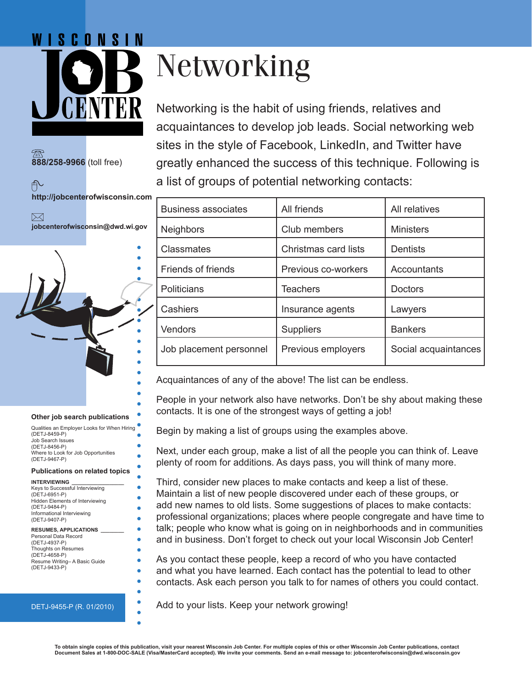# WISCONSIN

**888/258-9966** (toll free)

个

 $\bowtie$ 

**http://jobcenterofwisconsin.com**

**jobcenterofwisconsin@dwd.wi.gov**

# Networking

Networking is the habit of using friends, relatives and acquaintances to develop job leads. Social networking web sites in the style of Facebook, LinkedIn, and Twitter have greatly enhanced the success of this technique. Following is a list of groups of potential networking contacts:

| <b>Business associates</b> | All friends          | All relatives        |
|----------------------------|----------------------|----------------------|
| <b>Neighbors</b>           | Club members         | <b>Ministers</b>     |
| <b>Classmates</b>          | Christmas card lists | <b>Dentists</b>      |
| <b>Friends of friends</b>  | Previous co-workers  | Accountants          |
| <b>Politicians</b>         | <b>Teachers</b>      | <b>Doctors</b>       |
| Cashiers                   | Insurance agents     | Lawyers              |
| Vendors                    | Suppliers            | <b>Bankers</b>       |
| Job placement personnel    | Previous employers   | Social acquaintances |

Acquaintances of any of the above! The list can be endless.

People in your network also have networks. Don't be shy about making these contacts. It is one of the strongest ways of getting a job!

Begin by making a list of groups using the examples above.

Next, under each group, make a list of all the people you can think of. Leave plenty of room for additions. As days pass, you will think of many more.

Third, consider new places to make contacts and keep a list of these. Maintain a list of new people discovered under each of these groups, or add new names to old lists. Some suggestions of places to make contacts: professional organizations; places where people congregate and have time to talk; people who know what is going on in neighborhoods and in communities and in business. Don't forget to check out your local Wisconsin Job Center!

As you contact these people, keep a record of who you have contacted and what you have learned. Each contact has the potential to lead to other contacts. Ask each person you talk to for names of others you could contact.

Add to your lists. Keep your network growing!

|  |  |  | Other job search publications |
|--|--|--|-------------------------------|
|--|--|--|-------------------------------|

Qualities an Employer Looks for When Hiring (DETJ-8459-P) Job Search Issues (DETJ-8456-P) Where to Look for Job Opportunities (DETJ-9467-P)

#### **Publications on related topics**

**INTERVIEWING \_\_\_\_\_\_\_\_\_\_\_\_\_\_\_\_\_\_** Keys to Successful Interviewing (DETJ-6951-P) Hidden Elements of Interviewing (DETJ-9484-P) Informational Interviewing (DETJ-9407-P)

#### **RESUMES, APPLICATIONS \_\_\_\_\_\_\_\_**

Personal Data Record (DETJ-4937-P) Thoughts on Resumes (DETJ-4658-P) Resume Writing– A Basic Guide (DETJ-9433-P)

#### DETJ-9455-P (R. 01/2010)